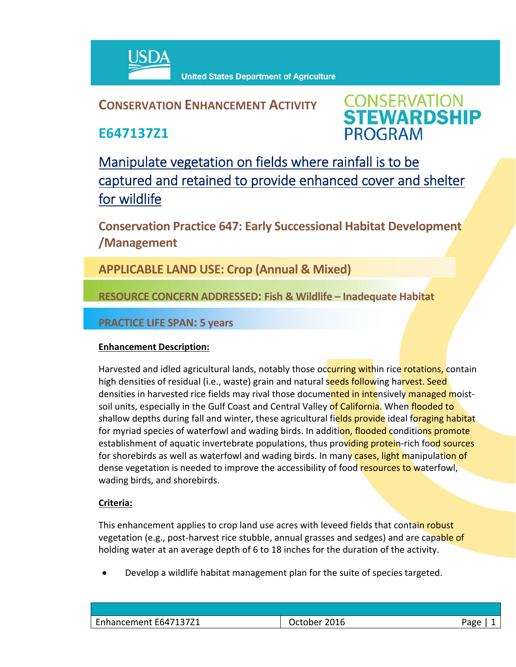

## **CONSERVATION ENHANCEMENT ACTIVITY**

**E647137Z1**

**CONSERVATION<br>STEWARDSHIP PROGRAM** 

Manipulate vegetation on fields where rainfall is to be captured and retained to provide enhanced cover and shelter for wildlife

**Conservation Practice 647: Early Successional Habitat Development /Management** 

**APPLICABLE LAND USE: Crop (Annual & Mixed)**

**RESOURCE CONCERN ADDRESSED: Fish & Wildlife – Inadequate Habitat**

### **PRACTICE LIFE SPAN: 5 years**

#### **Enhancement Description:**

Harvested and idled agricultural lands, notably those occurring within rice rotations, contain high densities of residual (i.e., waste) grain and natural seeds following harvest. Seed densities in harvested rice fields may rival those documented in intensively managed moistsoil units, especially in the Gulf Coast and Central Valley of California. When flooded to shallow depths during fall and winter, these agricultural fields provide ideal foraging habitat for myriad species of waterfowl and wading birds. In addition, flooded conditions promote establishment of aquatic invertebrate populations, thus providing protein-rich food sources for shorebirds as well as waterfowl and wading birds. In many cases, light manipulation of dense vegetation is needed to improve the accessibility of food resources to waterfowl, wading birds, and shorebirds.

#### **Criteria:**

This enhancement applies to crop land use acres with leveed fields that contain robust vegetation (e.g., post-harvest rice stubble, annual grasses and sedges) and are capable of holding water at an average depth of 6 to 18 inches for the duration of the activity.

Develop a wildlife habitat management plan for the suite of species targeted.

| Enhancement E647137Z1 | 2016<br>October i | Page |
|-----------------------|-------------------|------|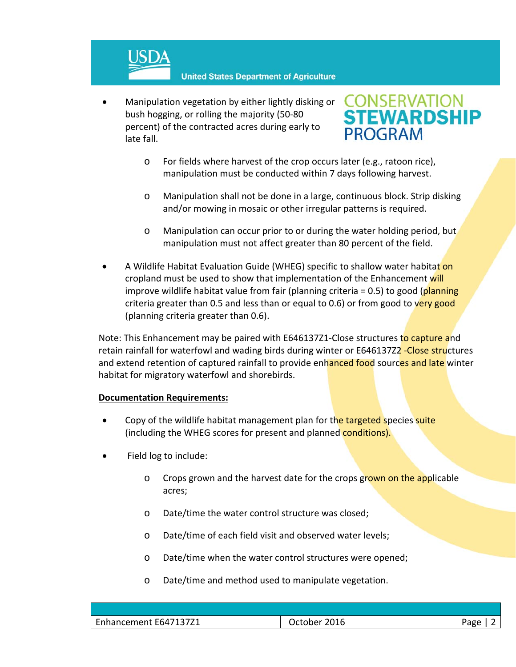

 Manipulation vegetation by either lightly disking or bush hogging, or rolling the majority (50‐80 percent) of the contracted acres during early to late fall.

# PROGRAM

- o For fields where harvest of the crop occurs later (e.g., ratoon rice), manipulation must be conducted within 7 days following harvest.
- o Manipulation shall not be done in a large, continuous block. Strip disking and/or mowing in mosaic or other irregular patterns is required.
- o Manipulation can occur prior to or during the water holding period, but manipulation must not affect greater than 80 percent of the field.
- A Wildlife Habitat Evaluation Guide (WHEG) specific to shallow water habitat on cropland must be used to show that implementation of the Enhancement will improve wildlife habitat value from fair (planning criteria = 0.5) to good (planning criteria greater than 0.5 and less than or equal to 0.6) or from good to very good (planning criteria greater than 0.6).

Note: This Enhancement may be paired with E646137Z1-Close structures to capture and retain rainfall for waterfowl and wading birds during winter or E646137Z2 -Close structures and extend retention of captured rainfall to provide enhanced food sources and late winter habitat for migratory waterfowl and shorebirds.

#### **Documentation Requirements:**

- Copy of the wildlife habitat management plan for the targeted species suite (including the WHEG scores for present and planned conditions).
- Field log to include:
	- o Crops grown and the harvest date for the crops grown on the applicable acres;
	- o Date/time the water control structure was closed;
	- o Date/time of each field visit and observed water levels;
	- o Date/time when the water control structures were opened;
	- o Date/time and method used to manipulate vegetation.

| Enhancement E647137Z1 | 2016<br>-<br>Jctober | aac |
|-----------------------|----------------------|-----|